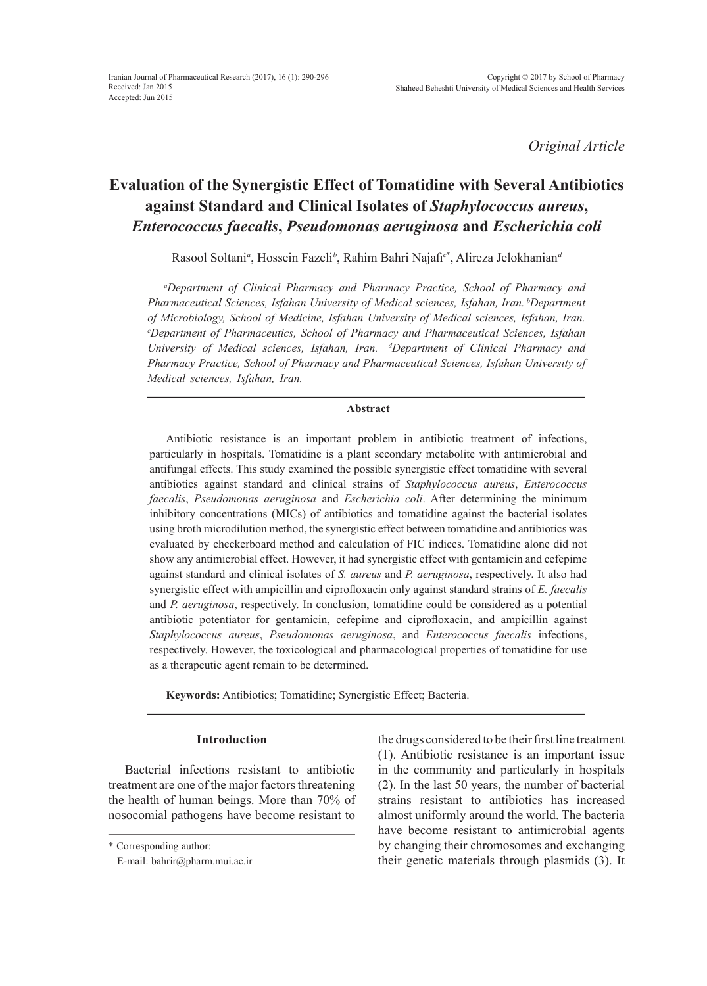*Original Article*

# **Evaluation of the Synergistic Effect of Tomatidine with Several Antibiotics against Standard and Clinical Isolates of** *Staphylococcus aureus***,**  *Enterococcus faecalis***,** *Pseudomonas aeruginosa* **and** *Escherichia coli*

Rasool Soltani*<sup>a</sup>* , Hossein Fazeli*<sup>b</sup>* , Rahim Bahri Najafi*<sup>c</sup>*\* , Alireza Jelokhanian*<sup>d</sup>*

*a Department of Clinical Pharmacy and Pharmacy Practice, School of Pharmacy and Pharmaceutical Sciences, Isfahan University of Medical sciences, Isfahan, Iran. bDepartment of Microbiology, School of Medicine, Isfahan University of Medical sciences, Isfahan, Iran. c Department of Pharmaceutics, School of Pharmacy and Pharmaceutical Sciences, Isfahan University of Medical sciences, Isfahan, Iran. dDepartment of Clinical Pharmacy and Pharmacy Practice, School of Pharmacy and Pharmaceutical Sciences, Isfahan University of Medical sciences, Isfahan, Iran.*

### **Abstract**

Antibiotic resistance is an important problem in antibiotic treatment of infections, particularly in hospitals. Tomatidine is a plant secondary metabolite with antimicrobial and antifungal effects. This study examined the possible synergistic effect tomatidine with several antibiotics against standard and clinical strains of *Staphylococcus aureus*, *Enterococcus faecalis*, *Pseudomonas aeruginosa* and *Escherichia coli*. After determining the minimum inhibitory concentrations (MICs) of antibiotics and tomatidine against the bacterial isolates using broth microdilution method, the synergistic effect between tomatidine and antibiotics was evaluated by checkerboard method and calculation of FIC indices. Tomatidine alone did not show any antimicrobial effect. However, it had synergistic effect with gentamicin and cefepime against standard and clinical isolates of *S. aureus* and *P. aeruginosa*, respectively. It also had synergistic effect with ampicillin and ciprofloxacin only against standard strains of *E. faecalis* and *P. aeruginosa*, respectively. In conclusion, tomatidine could be considered as a potential antibiotic potentiator for gentamicin, cefepime and ciprofloxacin, and ampicillin against *Staphylococcus aureus*, *Pseudomonas aeruginosa*, and *Enterococcus faecalis* infections, respectively. However, the toxicological and pharmacological properties of tomatidine for use as a therapeutic agent remain to be determined.

**Keywords:** Antibiotics; Tomatidine; Synergistic Effect; Bacteria.

## **Introduction**

Bacterial infections resistant to antibiotic treatment are one of the major factors threatening the health of human beings. More than 70% of nosocomial pathogens have become resistant to

the drugs considered to be their first line treatment (1). Antibiotic resistance is an important issue in the community and particularly in hospitals (2). In the last 50 years, the number of bacterial strains resistant to antibiotics has increased almost uniformly around the world. The bacteria have become resistant to antimicrobial agents by changing their chromosomes and exchanging their genetic materials through plasmids (3). It

<sup>\*</sup> Corresponding author:

E-mail: bahrir@pharm.mui.ac.ir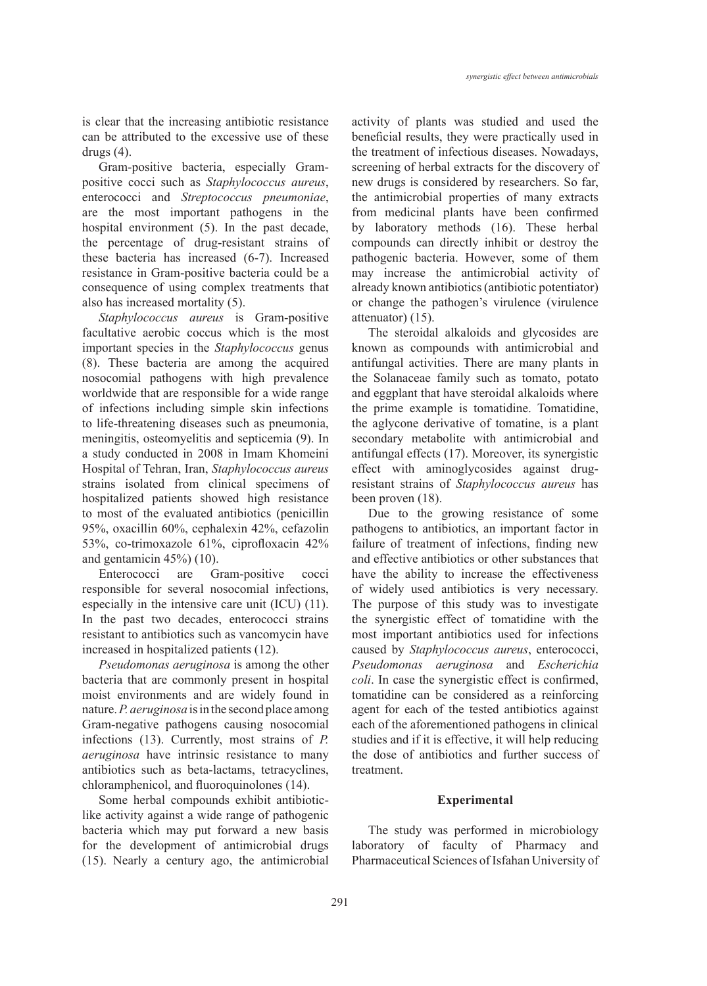is clear that the increasing antibiotic resistance can be attributed to the excessive use of these drugs  $(4)$ .

Gram-positive bacteria, especially Grampositive cocci such as *Staphylococcus aureus*, enterococci and *Streptococcus pneumoniae*, are the most important pathogens in the hospital environment (5). In the past decade, the percentage of drug-resistant strains of these bacteria has increased (6-7). Increased resistance in Gram-positive bacteria could be a consequence of using complex treatments that also has increased mortality (5).

*Staphylococcus aureus* is Gram-positive facultative aerobic coccus which is the most important species in the *Staphylococcus* genus (8). These bacteria are among the acquired nosocomial pathogens with high prevalence worldwide that are responsible for a wide range of infections including simple skin infections to life-threatening diseases such as pneumonia, meningitis, osteomyelitis and septicemia (9). In a study conducted in 2008 in Imam Khomeini Hospital of Tehran, Iran, *Staphylococcus aureus* strains isolated from clinical specimens of hospitalized patients showed high resistance to most of the evaluated antibiotics (penicillin 95%, oxacillin 60%, cephalexin 42%, cefazolin 53%, co-trimoxazole 61%, ciprofloxacin 42% and gentamicin 45%) (10).

Enterococci are Gram-positive cocci responsible for several nosocomial infections, especially in the intensive care unit (ICU) (11). In the past two decades, enterococci strains resistant to antibiotics such as vancomycin have increased in hospitalized patients (12).

*Pseudomonas aeruginosa* is among the other bacteria that are commonly present in hospital moist environments and are widely found in nature. *P. aeruginosa* is in the second place among Gram-negative pathogens causing nosocomial infections (13). Currently, most strains of *P. aeruginosa* have intrinsic resistance to many antibiotics such as beta-lactams, tetracyclines, chloramphenicol, and fluoroquinolones (14).

Some herbal compounds exhibit antibioticlike activity against a wide range of pathogenic bacteria which may put forward a new basis for the development of antimicrobial drugs (15). Nearly a century ago, the antimicrobial activity of plants was studied and used the beneficial results, they were practically used in the treatment of infectious diseases. Nowadays, screening of herbal extracts for the discovery of new drugs is considered by researchers. So far, the antimicrobial properties of many extracts from medicinal plants have been confirmed by laboratory methods (16). These herbal compounds can directly inhibit or destroy the pathogenic bacteria. However, some of them may increase the antimicrobial activity of already known antibiotics (antibiotic potentiator) or change the pathogen's virulence (virulence attenuator) (15).

The steroidal alkaloids and glycosides are known as compounds with antimicrobial and antifungal activities. There are many plants in the Solanaceae family such as tomato, potato and eggplant that have steroidal alkaloids where the prime example is tomatidine. Tomatidine, the aglycone derivative of tomatine, is a plant secondary metabolite with antimicrobial and antifungal effects (17). Moreover, its synergistic effect with aminoglycosides against drugresistant strains of *Staphylococcus aureus* has been proven (18).

Due to the growing resistance of some pathogens to antibiotics, an important factor in failure of treatment of infections, finding new and effective antibiotics or other substances that have the ability to increase the effectiveness of widely used antibiotics is very necessary. The purpose of this study was to investigate the synergistic effect of tomatidine with the most important antibiotics used for infections caused by *Staphylococcus aureus*, enterococci, *Pseudomonas aeruginosa* and *Escherichia coli*. In case the synergistic effect is confirmed, tomatidine can be considered as a reinforcing agent for each of the tested antibiotics against each of the aforementioned pathogens in clinical studies and if it is effective, it will help reducing the dose of antibiotics and further success of treatment.

## **Experimental**

The study was performed in microbiology laboratory of faculty of Pharmacy and Pharmaceutical Sciences of Isfahan University of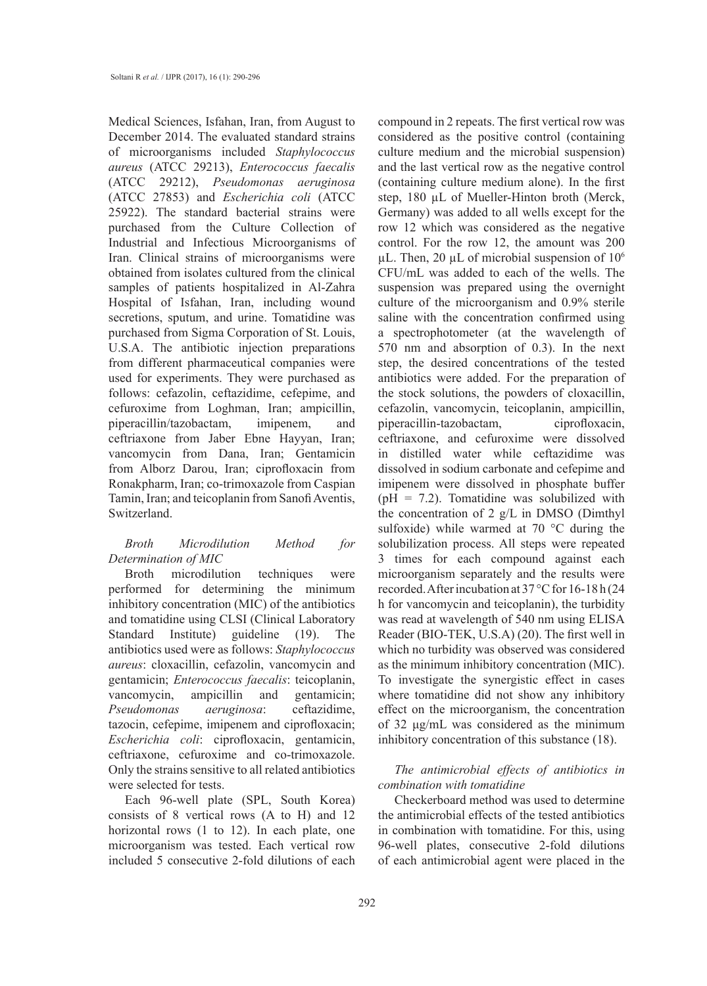Medical Sciences, Isfahan, Iran, from August to December 2014. The evaluated standard strains of microorganisms included *Staphylococcus aureus* (ATCC 29213), *Enterococcus faecalis* (ATCC 29212), *Pseudomonas aeruginosa* (ATCC 27853) and *Escherichia coli* (ATCC 25922). The standard bacterial strains were purchased from the Culture Collection of Industrial and Infectious Microorganisms of Iran. Clinical strains of microorganisms were obtained from isolates cultured from the clinical samples of patients hospitalized in Al-Zahra Hospital of Isfahan, Iran, including wound secretions, sputum, and urine. Tomatidine was purchased from Sigma Corporation of St. Louis, U.S.A. The antibiotic injection preparations from different pharmaceutical companies were used for experiments. They were purchased as follows: cefazolin, ceftazidime, cefepime, and cefuroxime from Loghman, Iran; ampicillin, piperacillin/tazobactam, imipenem, and ceftriaxone from Jaber Ebne Hayyan, Iran; vancomycin from Dana, Iran; Gentamicin from Alborz Darou, Iran; ciprofloxacin from Ronakpharm, Iran; co-trimoxazole from Caspian Tamin, Iran; and teicoplanin from Sanofi Aventis, Switzerland.

# *Broth Microdilution Method for Determination of MIC*

Broth microdilution techniques were performed for determining the minimum inhibitory concentration (MIC) of the antibiotics and tomatidine using CLSI (Clinical Laboratory Standard Institute) guideline (19). The antibiotics used were as follows: *Staphylococcus aureus*: cloxacillin, cefazolin, vancomycin and gentamicin; *Enterococcus faecalis*: teicoplanin, vancomycin, ampicillin and gentamicin; *Pseudomonas aeruginosa*: ceftazidime, tazocin, cefepime, imipenem and ciprofloxacin; *Escherichia coli*: ciprofloxacin, gentamicin, ceftriaxone, cefuroxime and co-trimoxazole. Only the strains sensitive to all related antibiotics were selected for tests.

Each 96-well plate (SPL, South Korea) consists of 8 vertical rows (A to H) and 12 horizontal rows (1 to 12). In each plate, one microorganism was tested. Each vertical row included 5 consecutive 2-fold dilutions of each compound in 2 repeats. The first vertical row was considered as the positive control (containing culture medium and the microbial suspension) and the last vertical row as the negative control (containing culture medium alone). In the first step, 180 µL of Mueller-Hinton broth (Merck, Germany) was added to all wells except for the row 12 which was considered as the negative control. For the row 12, the amount was 200  $\mu$ L. Then, 20  $\mu$ L of microbial suspension of 10<sup>6</sup> CFU/mL was added to each of the wells. The suspension was prepared using the overnight culture of the microorganism and 0.9% sterile saline with the concentration confirmed using a spectrophotometer (at the wavelength of 570 nm and absorption of 0.3). In the next step, the desired concentrations of the tested antibiotics were added. For the preparation of the stock solutions, the powders of cloxacillin, cefazolin, vancomycin, teicoplanin, ampicillin, piperacillin-tazobactam, ciprofloxacin, ceftriaxone, and cefuroxime were dissolved in distilled water while ceftazidime was dissolved in sodium carbonate and cefepime and imipenem were dissolved in phosphate buffer ( $pH = 7.2$ ). Tomatidine was solubilized with the concentration of 2 g/L in DMSO (Dimthyl sulfoxide) while warmed at 70 °C during the solubilization process. All steps were repeated 3 times for each compound against each microorganism separately and the results were recorded. After incubation at 37 °C for 16-18 h (24 h for vancomycin and teicoplanin), the turbidity was read at wavelength of 540 nm using ELISA Reader (BIO-TEK, U.S.A) (20). The first well in which no turbidity was observed was considered as the minimum inhibitory concentration (MIC). To investigate the synergistic effect in cases where tomatidine did not show any inhibitory effect on the microorganism, the concentration of 32 μg/mL was considered as the minimum inhibitory concentration of this substance (18).

## *The antimicrobial effects of antibiotics in combination with tomatidine*

Checkerboard method was used to determine the antimicrobial effects of the tested antibiotics in combination with tomatidine. For this, using 96-well plates, consecutive 2-fold dilutions of each antimicrobial agent were placed in the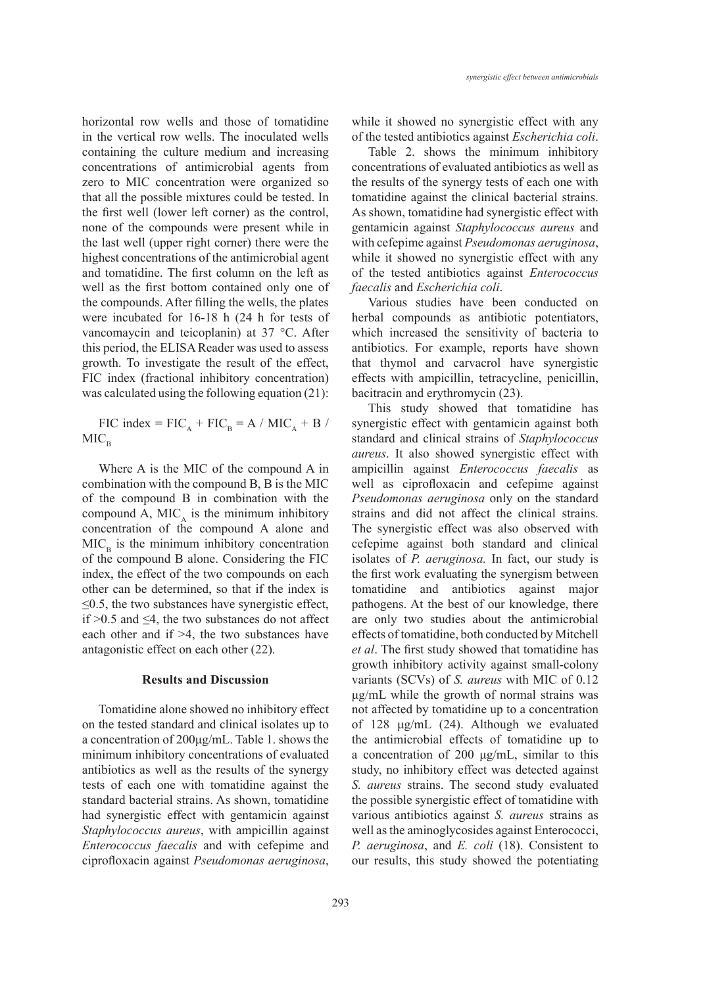horizontal row wells and those of tomatidine in the vertical row wells. The inoculated wells containing the culture medium and increasing concentrations of antimicrobial agents from zero to MIC concentration were organized so that all the possible mixtures could be tested. In the first well (lower left corner) as the control, none of the compounds were present while in the last well (upper right corner) there were the highest concentrations of the antimicrobial agent and tomatidine. The first column on the left as well as the first bottom contained only one of the compounds. After filling the wells, the plates were incubated for 16-18 h (24 h for tests of vancomaycin and teicoplanin) at 37 °C. After this period, the ELISA Reader was used to assess growth. To investigate the result of the effect, FIC index (fractional inhibitory concentration) was calculated using the following equation (21):

FIC index =  $FIC_A + FIC_B = A / MIC_A + B /$  $MIC<sub>B</sub>$ 

Where A is the MIC of the compound A in combination with the compound B, B is the MIC of the compound B in combination with the compound A, MIC<sub> $<sub>A</sub>$ </sub> is the minimum inhibitory</sub> concentration of the compound A alone and  $MIC<sub>n</sub>$  is the minimum inhibitory concentration of the compound B alone. Considering the FIC index, the effect of the two compounds on each other can be determined, so that if the index is  $\leq$ 0.5, the two substances have synergistic effect, if  $>0.5$  and  $\leq 4$ , the two substances do not affect each other and if >4, the two substances have antagonistic effect on each other (22).

#### **Results and Discussion**

Tomatidine alone showed no inhibitory effect on the tested standard and clinical isolates up to a concentration of 200μg/mL. Table 1. shows the minimum inhibitory concentrations of evaluated antibiotics as well as the results of the synergy tests of each one with tomatidine against the standard bacterial strains. As shown, tomatidine had synergistic effect with gentamicin against *Staphylococcus aureus*, with ampicillin against *Enterococcus faecalis* and with cefepime and ciprofloxacin against *Pseudomonas aeruginosa*, while it showed no synergistic effect with any of the tested antibiotics against *Escherichia coli*.

Table 2. shows the minimum inhibitory concentrations of evaluated antibiotics as well as the results of the synergy tests of each one with tomatidine against the clinical bacterial strains. As shown, tomatidine had synergistic effect with gentamicin against *Staphylococcus aureus* and with cefepime against *Pseudomonas aeruginosa*, while it showed no synergistic effect with any of the tested antibiotics against *Enterococcus faecalis* and *Escherichia coli*.

Various studies have been conducted on herbal compounds as antibiotic potentiators, which increased the sensitivity of bacteria to antibiotics. For example, reports have shown that thymol and carvacrol have synergistic effects with ampicillin, tetracycline, penicillin, bacitracin and erythromycin (23).

This study showed that tomatidine has synergistic effect with gentamicin against both standard and clinical strains of *Staphylococcus aureus*. It also showed synergistic effect with ampicillin against *Enterococcus faecalis* as well as ciprofloxacin and cefepime against *Pseudomonas aeruginosa* only on the standard strains and did not affect the clinical strains. The synergistic effect was also observed with cefepime against both standard and clinical isolates of *P. aeruginosa.* In fact, our study is the first work evaluating the synergism between tomatidine and antibiotics against major pathogens. At the best of our knowledge, there are only two studies about the antimicrobial effects of tomatidine, both conducted by Mitchell *et al*. The first study showed that tomatidine has growth inhibitory activity against small-colony variants (SCVs) of *S. aureus* with MIC of 0.12 μg/mL while the growth of normal strains was not affected by tomatidine up to a concentration of 128 μg/mL (24). Although we evaluated the antimicrobial effects of tomatidine up to a concentration of 200 μg/mL, similar to this study, no inhibitory effect was detected against *S. aureus* strains. The second study evaluated the possible synergistic effect of tomatidine with various antibiotics against *S. aureus* strains as well as the aminoglycosides against Enterococci, *P. aeruginosa*, and *E. coli* (18). Consistent to our results, this study showed the potentiating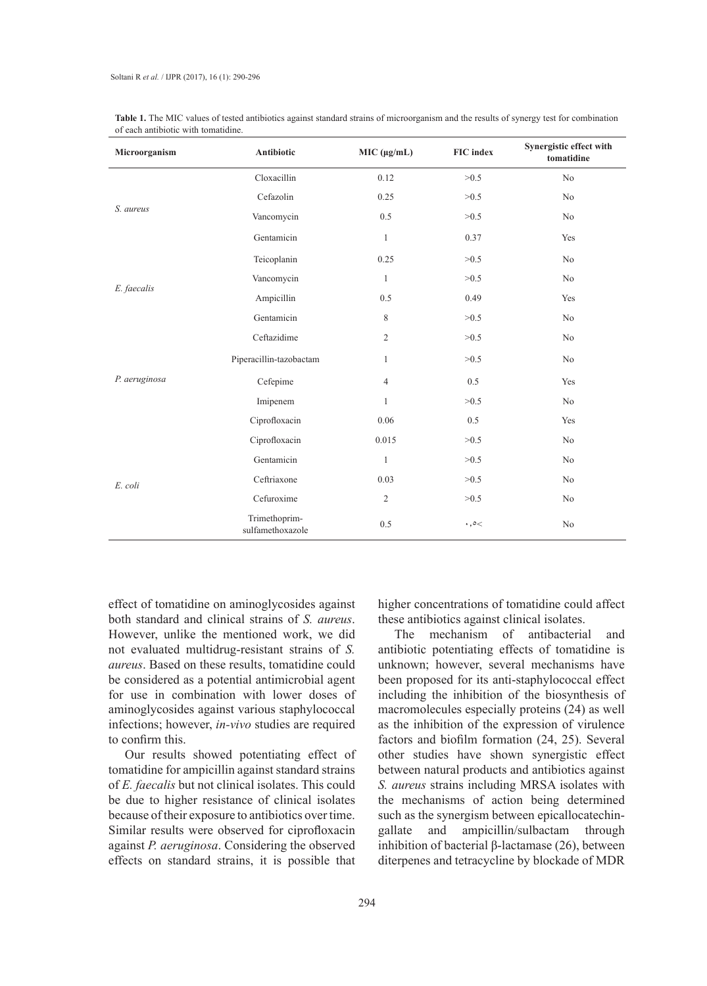| Microorganism | Antibiotic                        | MIC (µg/mL)    | <b>FIC</b> index      | Synergistic effect with<br>tomatidine |
|---------------|-----------------------------------|----------------|-----------------------|---------------------------------------|
| S. aureus     | Cloxacillin                       | 0.12           | >0.5                  | No                                    |
|               | Cefazolin                         | 0.25           | >0.5                  | No                                    |
|               | Vancomycin                        | 0.5            | >0.5                  | No                                    |
|               | Gentamicin                        | $\mathbf{1}$   | 0.37                  | Yes                                   |
| E. faecalis   | Teicoplanin                       | 0.25           | >0.5                  | No                                    |
|               | Vancomycin                        | $\mathbf{1}$   | >0.5                  | No                                    |
|               | Ampicillin                        | 0.5            | 0.49                  | Yes                                   |
|               | Gentamicin                        | 8              | >0.5                  | No                                    |
| P. aeruginosa | Ceftazidime                       | $\overline{c}$ | >0.5                  | No                                    |
|               | Piperacillin-tazobactam           | $\mathbf{1}$   | >0.5                  | No                                    |
|               | Cefepime                          | $\overline{4}$ | 0.5                   | Yes                                   |
|               | Imipenem                          | $\mathbf{1}$   | >0.5                  | No                                    |
|               | Ciprofloxacin                     | 0.06           | 0.5                   | Yes                                   |
| E. coli       | Ciprofloxacin                     | 0.015          | >0.5                  | No                                    |
|               | Gentamicin                        | $\mathbf{1}$   | >0.5                  | No                                    |
|               | Ceftriaxone                       | 0.03           | >0.5                  | No                                    |
|               | Cefuroxime                        | $\overline{c}$ | >0.5                  | No                                    |
|               | Trimethoprim-<br>sulfamethoxazole | 0.5            | $\cdot$ , $\circ$ $<$ | No                                    |

Table 1. The MIC values of tested antibiotics against standard strains of microorganism and the results of synergy test for combination of each antibiotic with tomatidine.

effect of tomatidine on aminoglycosides against both standard and clinical strains of *S. aureus*. However, unlike the mentioned work, we did not evaluated multidrug-resistant strains of *S. aureus*. Based on these results, tomatidine could be considered as a potential antimicrobial agent for use in combination with lower doses of aminoglycosides against various staphylococcal infections; however, *in-vivo* studies are required to confirm this.

Our results showed potentiating effect of tomatidine for ampicillin against standard strains of *E. faecalis* but not clinical isolates. This could be due to higher resistance of clinical isolates because of their exposure to antibiotics over time. Similar results were observed for ciprofloxacin against *P. aeruginosa*. Considering the observed effects on standard strains, it is possible that

higher concentrations of tomatidine could affect these antibiotics against clinical isolates.

The mechanism of antibacterial and antibiotic potentiating effects of tomatidine is unknown; however, several mechanisms have been proposed for its anti-staphylococcal effect including the inhibition of the biosynthesis of macromolecules especially proteins (24) as well as the inhibition of the expression of virulence factors and biofilm formation (24, 25). Several other studies have shown synergistic effect between natural products and antibiotics against *S. aureus* strains including MRSA isolates with the mechanisms of action being determined such as the synergism between epicallocatechingallate and ampicillin/sulbactam through inhibition of bacterial β-lactamase (26), between diterpenes and tetracycline by blockade of MDR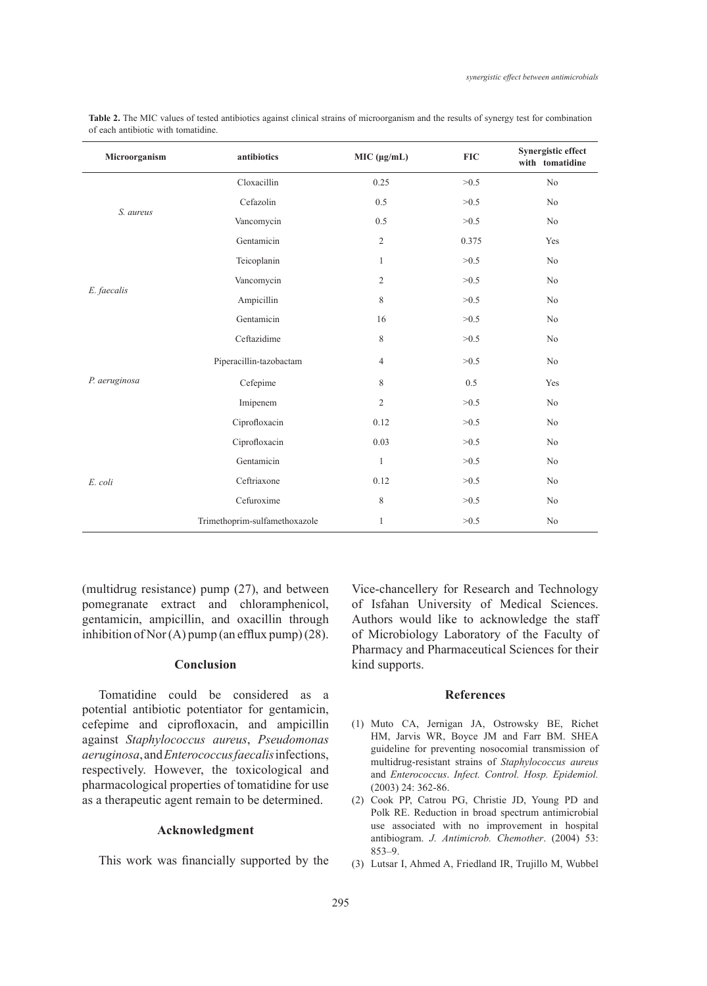| Microorganism | antibiotics                   | MIC (µg/mL)    | <b>FIC</b> | Synergistic effect<br>with tomatidine |
|---------------|-------------------------------|----------------|------------|---------------------------------------|
| S. aureus     | Cloxacillin                   | 0.25           | >0.5       | N <sub>o</sub>                        |
|               | Cefazolin                     | 0.5            | >0.5       | N <sub>o</sub>                        |
|               | Vancomycin                    | 0.5            | >0.5       | N <sub>0</sub>                        |
|               | Gentamicin                    | $\overline{c}$ | 0.375      | Yes                                   |
| E. faecalis   | Teicoplanin                   | $\mathbf{1}$   | >0.5       | N <sub>o</sub>                        |
|               | Vancomycin                    | $\overline{2}$ | >0.5       | No                                    |
|               | Ampicillin                    | 8              | >0.5       | N <sub>o</sub>                        |
|               | Gentamicin                    | 16             | >0.5       | N <sub>o</sub>                        |
| P. aeruginosa | Ceftazidime                   | 8              | >0.5       | N <sub>o</sub>                        |
|               | Piperacillin-tazobactam       | $\overline{4}$ | >0.5       | N <sub>o</sub>                        |
|               | Cefepime                      | 8              | 0.5        | Yes                                   |
|               | Imipenem                      | $\mathfrak{2}$ | >0.5       | N <sub>o</sub>                        |
|               | Ciprofloxacin                 | 0.12           | >0.5       | N <sub>o</sub>                        |
| E. coli       | Ciprofloxacin                 | 0.03           | >0.5       | N <sub>o</sub>                        |
|               | Gentamicin                    | $\mathbf{1}$   | >0.5       | N <sub>0</sub>                        |
|               | Ceftriaxone                   | 0.12           | >0.5       | N <sub>0</sub>                        |
|               | Cefuroxime                    | 8              | >0.5       | N <sub>0</sub>                        |
|               | Trimethoprim-sulfamethoxazole | $\mathbf{1}$   | >0.5       | No                                    |

Table 2. The MIC values of tested antibiotics against clinical strains of microorganism and the results of synergy test for combination of each antibiotic with tomatidine.

(multidrug resistance) pump (27), and between pomegranate extract and chloramphenicol, gentamicin, ampicillin, and oxacillin through inhibition of Nor  $(A)$  pump (an efflux pump) (28).

#### **Conclusion**

Tomatidine could be considered as a potential antibiotic potentiator for gentamicin, cefepime and ciprofloxacin, and ampicillin against *Staphylococcus aureus*, *Pseudomonas aeruginosa*, and *Enterococcus faecalis* infections, respectively. However, the toxicological and pharmacological properties of tomatidine for use as a therapeutic agent remain to be determined.

#### **Acknowledgment**

This work was financially supported by the

Vice-chancellery for Research and Technology of Isfahan University of Medical Sciences. Authors would like to acknowledge the staff of Microbiology Laboratory of the Faculty of Pharmacy and Pharmaceutical Sciences for their kind supports.

#### **References**

- Muto CA, Jernigan JA, Ostrowsky BE, Richet (1) HM, Jarvis WR, Boyce JM and Farr BM. SHEA guideline for preventing nosocomial transmission of multidrug-resistant strains of *Staphylococcus aureus* and *Enterococcus*. *Infect. Control. Hosp. Epidemiol.* (2003) 24: 362-86.
- (2) Cook PP, Catrou PG, Christie JD, Young PD and Polk RE. Reduction in broad spectrum antimicrobial use associated with no improvement in hospital antibiogram. *J. Antimicrob. Chemother*. (2004) 53: 853–9.
- Lutsar I, Ahmed A, Friedland IR, Trujillo M, Wubbel (3)